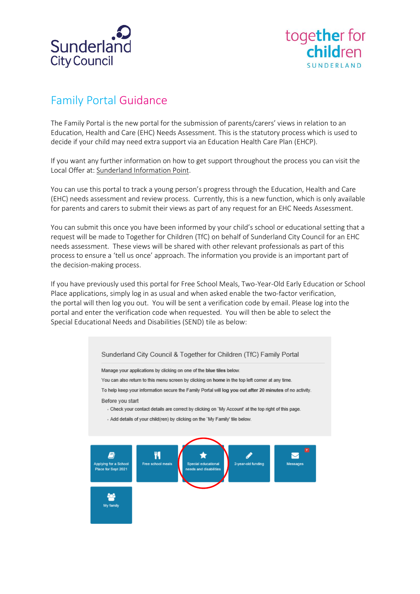



## Family Portal Guidance

The Family Portal is the new portal for the submission of parents/carers' views in relation to an Education, Health and Care (EHC) Needs Assessment. This is the statutory process which is used to decide if your child may need extra support via an Education Health Care Plan (EHCP).

If you want any further information on how to get support throughout the process you can visit the Local Offer at: [Sunderland Information Point.](https://www.sunderlandinformationpoint.co.uk/kb5/sunderland/directory/home.page)

You can use this portal to track a young person's progress through the Education, Health and Care (EHC) needs assessment and review process. Currently, this is a new function, which is only available for parents and carers to submit their views as part of any request for an EHC Needs Assessment.

You can submit this once you have been informed by your child's school or educational setting that a request will be made to Together for Children (TfC) on behalf of Sunderland City Council for an EHC needs assessment. These views will be shared with other relevant professionals as part of this process to ensure a 'tell us once' approach. The information you provide is an important part of the decision-making process.

If you have previously used this portal for Free School Meals, Two-Year-Old Early Education or School Place applications, simply log in as usual and when asked enable the two-factor verification, the portal will then log you out. You will be sent a verification code by email. Please log into the portal and enter the verification code when requested. You will then be able to select the Special Educational Needs and Disabilities (SEND) tile as below: